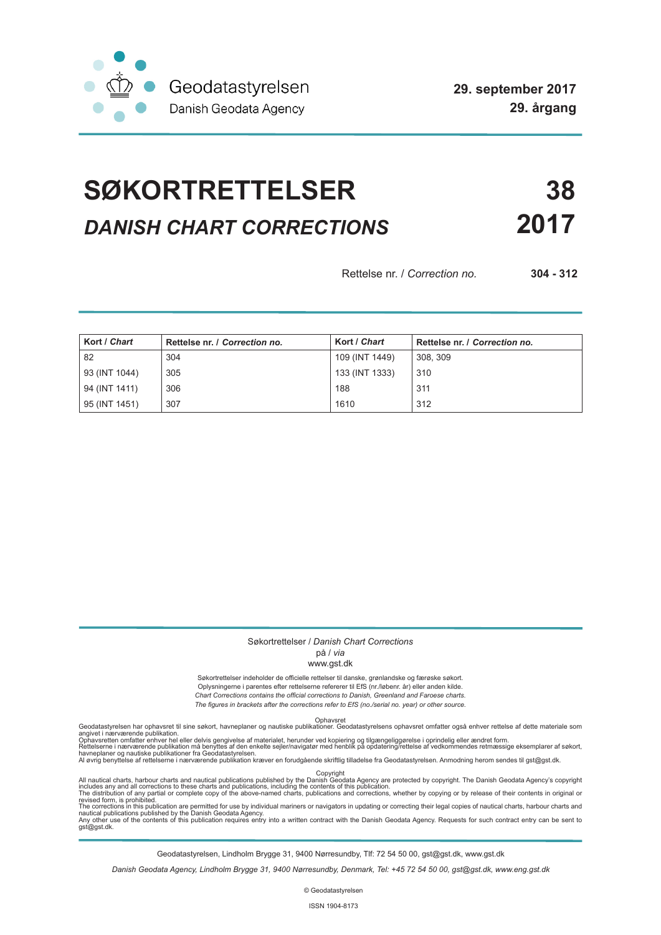

# **SØKORTRETTELSER 38** *DANISH CHART CORRECTIONS* **2017**

Rettelse nr. / *Correction no.* **304 - 312**

| Kort / Chart  | Rettelse nr. / Correction no. | Kort / Chart   | Rettelse nr. / Correction no. |
|---------------|-------------------------------|----------------|-------------------------------|
| 82            | 304                           | 109 (INT 1449) | 308, 309                      |
| 93 (INT 1044) | 305                           | 133 (INT 1333) | 310                           |
| 94 (INT 1411) | 306                           | 188            | 311                           |
| 95 (INT 1451) | 307                           | 1610           | 312                           |

## Søkortrettelser / *Danish Chart Corrections*

## på / *via*

#### www.gst.dk

Søkortrettelser indeholder de officielle rettelser til danske, grønlandske og færøske søkort. Oplysningerne i parentes efter rettelserne refererer til EfS (nr./løbenr. år) eller anden kilde. *Chart Corrections contains the official corrections to Danish, Greenland and Faroese charts. The figures in brackets after the corrections refer to EfS (no./serial no. year) or other source.*

Ophavsret Geodatastyrelsen har ophavsret til sine søkort, havneplaner og nautiske publikationer. Geodatastyrelsens ophavsret omfatter også enhver rettelse af dette materiale som

angivet i nærværende publikation.<br>Ophavsretten omfatter enhver hel eller delvis gengivelse af materialet, herunder ved kopiering og tilgængeliggørelse i oprindelig eller ændret form.<br>Rettelserne i nærværende publikation må

All nautical charts, harbour charts and nautical publications published by the Dopyright<br>includes any and all corrections to these charts and publications, including the contents of this publication.<br>The distribution of an

Geodatastyrelsen, Lindholm Brygge 31, 9400 Nørresundby, Tlf: 72 54 50 00, gst@gst.dk, www.gst.dk

*Danish Geodata Agency, Lindholm Brygge 31, 9400 Nørresundby, Denmark, Tel: +45 72 54 50 00, gst@gst.dk, www.eng.gst.dk*

© Geodatastyrelsen

ISSN 1904-8173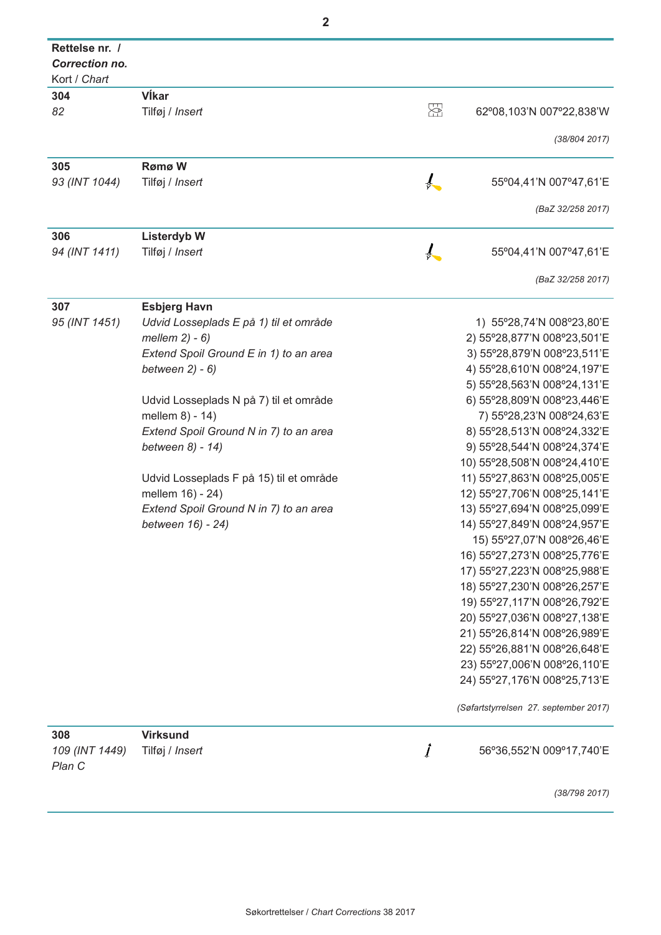| $\overline{2}$                                          |                                         |               |                                                              |  |
|---------------------------------------------------------|-----------------------------------------|---------------|--------------------------------------------------------------|--|
| Rettelse nr. /<br><b>Correction no.</b><br>Kort / Chart |                                         |               |                                                              |  |
| 304                                                     | VÍkar                                   |               |                                                              |  |
| 82                                                      | Tilføj / Insert                         | 접             | 62°08,103'N 007°22,838'W                                     |  |
|                                                         |                                         |               |                                                              |  |
|                                                         |                                         |               | (38/804 2017)                                                |  |
| 305                                                     | Rømø W                                  |               |                                                              |  |
| 93 (INT 1044)                                           | Tilføj / Insert                         |               | 55°04,41'N 007°47,61'E                                       |  |
|                                                         |                                         |               | (BaZ 32/258 2017)                                            |  |
| 306                                                     | <b>Listerdyb W</b>                      |               |                                                              |  |
| 94 (INT 1411)                                           | Tilføj / Insert                         | $\frac{1}{r}$ | 55°04,41'N 007°47,61'E                                       |  |
|                                                         |                                         |               | (BaZ 32/258 2017)                                            |  |
| 307                                                     | <b>Esbjerg Havn</b>                     |               |                                                              |  |
| 95 (INT 1451)                                           | Udvid Losseplads E på 1) til et område  |               | 1) 55°28,74'N 008°23,80'E                                    |  |
|                                                         | mellem $2) - 6$ )                       |               | 2) 55°28,877'N 008°23,501'E                                  |  |
|                                                         | Extend Spoil Ground E in 1) to an area  |               | 3) 55°28,879'N 008°23,511'E                                  |  |
|                                                         | between $2) - 6$ )                      |               | 4) 55°28,610'N 008°24,197'E                                  |  |
|                                                         |                                         |               | 5) 55°28,563'N 008°24,131'E                                  |  |
|                                                         | Udvid Losseplads N på 7) til et område  |               | 6) 55°28,809'N 008°23,446'E                                  |  |
|                                                         | mellem 8) - 14)                         |               | 7) 55°28,23'N 008°24,63'E                                    |  |
|                                                         | Extend Spoil Ground N in 7) to an area  |               | 8) 55°28,513'N 008°24,332'E                                  |  |
|                                                         | between 8) - 14)                        |               | 9) 55°28,544'N 008°24,374'E                                  |  |
|                                                         |                                         |               | 10) 55°28,508'N 008°24,410'E                                 |  |
|                                                         | Udvid Losseplads F på 15) til et område |               | 11) 55°27,863'N 008°25,005'E                                 |  |
|                                                         | mellem 16) - 24)                        |               | 12) 55°27,706'N 008°25,141'E                                 |  |
|                                                         | Extend Spoil Ground N in 7) to an area  |               | 13) 55°27,694'N 008°25,099'E                                 |  |
|                                                         | between 16) - 24)                       |               | 14) 55°27,849'N 008°24,957'E                                 |  |
|                                                         |                                         |               | 15) 55°27,07'N 008°26,46'E                                   |  |
|                                                         |                                         |               | 16) 55°27,273'N 008°25,776'E                                 |  |
|                                                         |                                         |               | 17) 55°27,223'N 008°25,988'E                                 |  |
|                                                         |                                         |               | 18) 55°27,230'N 008°26,257'E                                 |  |
|                                                         |                                         |               | 19) 55°27,117'N 008°26,792'E<br>20) 55°27,036'N 008°27,138'E |  |
|                                                         |                                         |               | 21) 55°26,814'N 008°26,989'E                                 |  |
|                                                         |                                         |               | 22) 55°26,881'N 008°26,648'E                                 |  |
|                                                         |                                         |               | 23) 55°27,006'N 008°26,110'E                                 |  |
|                                                         |                                         |               | 24) 55°27,176'N 008°25,713'E                                 |  |
|                                                         |                                         |               | (Søfartstyrrelsen 27. september 2017)                        |  |
| 308                                                     | <b>Virksund</b>                         |               |                                                              |  |
| 109 (INT 1449)                                          | Tilføj / Insert                         | $\it{J}$      | 56°36,552'N 009°17,740'E                                     |  |
| Plan C                                                  |                                         |               |                                                              |  |
|                                                         |                                         |               | (38/798 2017)                                                |  |
|                                                         |                                         |               |                                                              |  |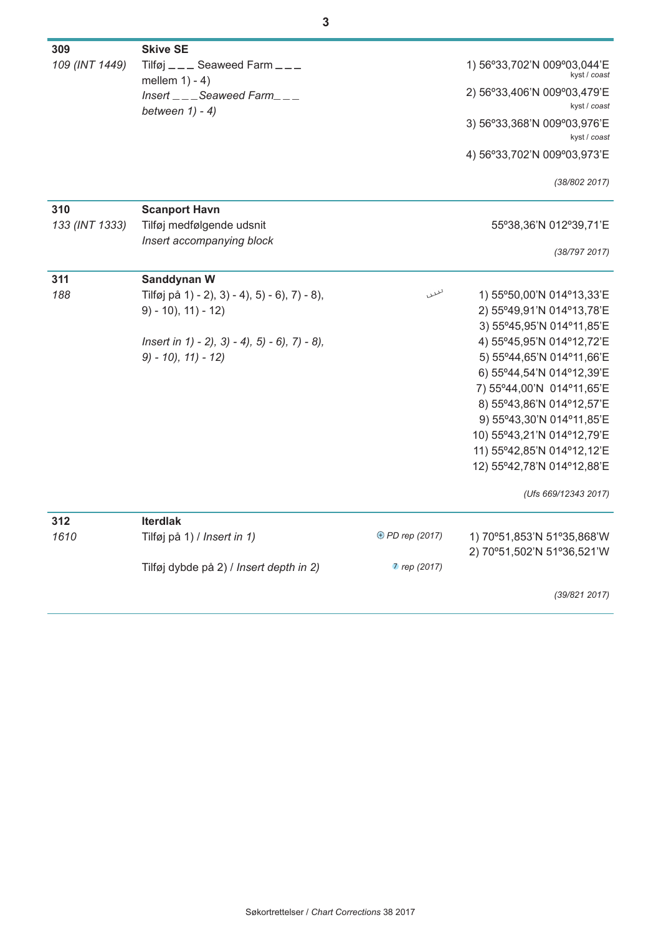| 309            | <b>Skive SE</b>                                            |                 |                                             |
|----------------|------------------------------------------------------------|-----------------|---------------------------------------------|
| 109 (INT 1449) | Tilføj $---$ Seaweed Farm $---$<br>mellem $1) - 4$ )       |                 | 1) 56°33,702'N 009°03,044'E<br>kyst / coast |
|                | $Insert_{---}$ Seaweed Farm $_{---}$<br>between $1) - 4$ ) |                 | 2) 56°33,406'N 009°03,479'E<br>kyst / coast |
|                |                                                            |                 | 3) 56°33,368'N 009°03,976'E<br>kyst / coast |
|                |                                                            |                 | 4) 56°33,702'N 009°03,973'E                 |
|                |                                                            |                 | (38/802 2017)                               |
| 310            | <b>Scanport Havn</b>                                       |                 |                                             |
| 133 (INT 1333) | Tilføj medfølgende udsnit<br>Insert accompanying block     |                 | 55°38,36'N 012°39,71'E                      |
|                |                                                            |                 | (38/797 2017)                               |
| 311            | Sanddynan W                                                |                 |                                             |
| 188            | Tilføj på 1) - 2), 3) - 4), 5) - 6), 7) - 8),              | لملللا          | 1) 55°50,00'N 014°13,33'E                   |
|                | $9) - 10$ , $11) - 12$                                     |                 | 2) 55°49,91'N 014°13,78'E                   |
|                |                                                            |                 | 3) 55°45,95'N 014°11,85'E                   |
|                | $Insert in 1) - 2, 3) - 4, 5) - 6, 7) - 8,$                |                 | 4) 55°45,95'N 014°12,72'E                   |
|                | $9) - 10$ , $11) - 12$                                     |                 | 5) 55°44,65'N 014°11,66'E                   |
|                |                                                            |                 | 6) 55°44,54'N 014°12,39'E                   |
|                |                                                            |                 | 7) 55°44,00'N 014°11,65'E                   |
|                |                                                            |                 | 8) 55°43,86'N 014°12,57'E                   |
|                |                                                            |                 | 9) 55°43,30'N 014°11,85'E                   |
|                |                                                            |                 | 10) 55°43,21'N 014°12,79'E                  |
|                |                                                            |                 | 11) 55°42,85'N 014°12,12'E                  |
|                |                                                            |                 | 12) 55°42,78'N 014°12,88'E                  |
|                |                                                            |                 | (Ufs 669/12343 2017)                        |
| 312            | <b>Iterdiak</b>                                            |                 |                                             |
| 1610           | Tilføj på 1) / Insert in 1)                                | ⊕ PD rep (2017) | 1) 70°51,853'N 51°35,868'W                  |
|                |                                                            |                 | 2) 70°51,502'N 51°36,521'W                  |
|                | Tilføj dybde på 2) / Insert depth in 2)                    | 7 rep (2017)    |                                             |
|                |                                                            |                 | (39/821 2017)                               |
|                |                                                            |                 |                                             |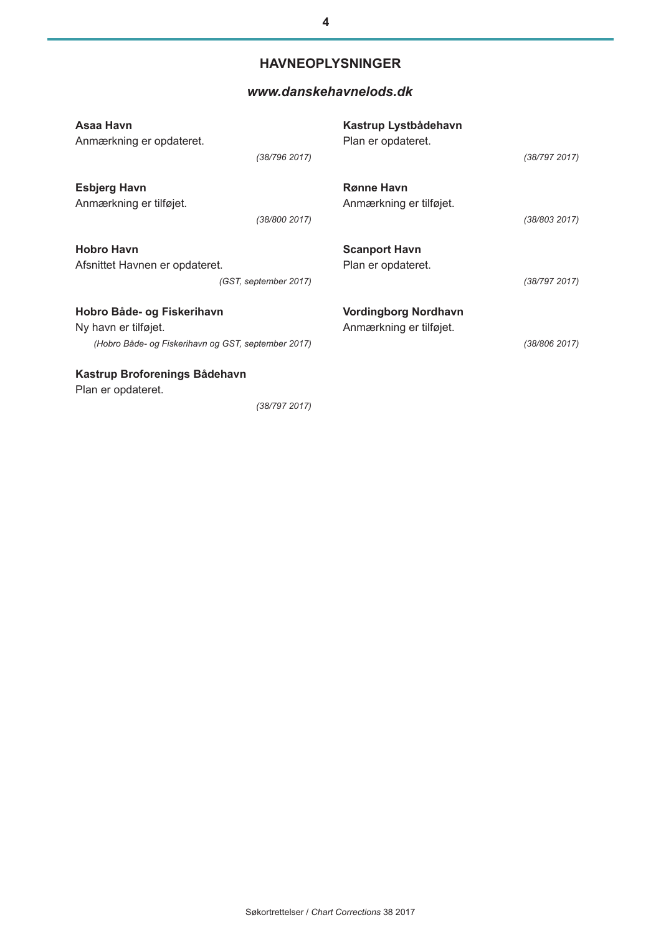# **HAVNEOPLYSNINGER**

## *[www.danskehavnelods.dk](http://www.danskehavnelods.dk/)*

| Asaa Havn<br>Anmærkning er opdateret.                                                                     | (38/796 2017)         | Kastrup Lystbådehavn<br>Plan er opdateret.             | (38/797 2017) |
|-----------------------------------------------------------------------------------------------------------|-----------------------|--------------------------------------------------------|---------------|
| <b>Esbjerg Havn</b><br>Anmærkning er tilføjet.                                                            | (38/800 2017)         | <b>Rønne Havn</b><br>Anmærkning er tilføjet.           | (38/803 2017) |
| <b>Hobro Havn</b><br>Afsnittet Havnen er opdateret.                                                       | (GST, september 2017) | <b>Scanport Havn</b><br>Plan er opdateret.             | (38/797 2017) |
| Hobro Både- og Fiskerihavn<br>Ny havn er tilføjet.<br>(Hobro Både- og Fiskerihavn og GST, september 2017) |                       | <b>Vordingborg Nordhavn</b><br>Anmærkning er tilføjet. | (38/806 2017) |
| Kastrup Broforenings Bådehavn<br>Plan er opdateret.                                                       |                       |                                                        |               |

*(38/797 2017)*